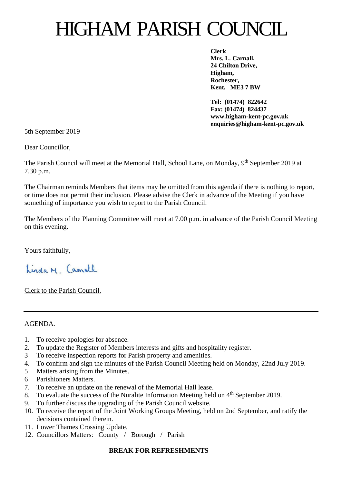# HIGHAM PARISH COUNCIL

**Clerk Mrs. L. Carnall, 24 Chilton Drive, Higham, Rochester, Kent. ME3 7 BW**

**Tel: (01474) 822642 Fax: (01474) 824437 www.higham-kent-pc.gov.uk enquiries@higham-kent-pc.gov.uk**

5th September 2019

Dear Councillor,

The Parish Council will meet at the Memorial Hall, School Lane, on Monday, 9<sup>th</sup> September 2019 at 7.30 p.m.

The Chairman reminds Members that items may be omitted from this agenda if there is nothing to report, or time does not permit their inclusion. Please advise the Clerk in advance of the Meeting if you have something of importance you wish to report to the Parish Council.

The Members of the Planning Committee will meet at 7.00 p.m. in advance of the Parish Council Meeting on this evening.

Yours faithfully,

Linda M. Camall

Clerk to the Parish Council.

#### AGENDA.

- 1. To receive apologies for absence.
- 2. To update the Register of Members interests and gifts and hospitality register.
- 3 To receive inspection reports for Parish property and amenities.
- 4. To confirm and sign the minutes of the Parish Council Meeting held on Monday, 22nd July 2019.
- 5 Matters arising from the Minutes.
- 6 Parishioners Matters.
- 7. To receive an update on the renewal of the Memorial Hall lease.
- 8. To evaluate the success of the Nuralite Information Meeting held on 4<sup>th</sup> September 2019.
- 9. To further discuss the upgrading of the Parish Council website.
- 10. To receive the report of the Joint Working Groups Meeting, held on 2nd September, and ratify the decisions contained therein.
- 11. Lower Thames Crossing Update.
- 12. Councillors Matters: County / Borough / Parish

## **BREAK FOR REFRESHMENTS**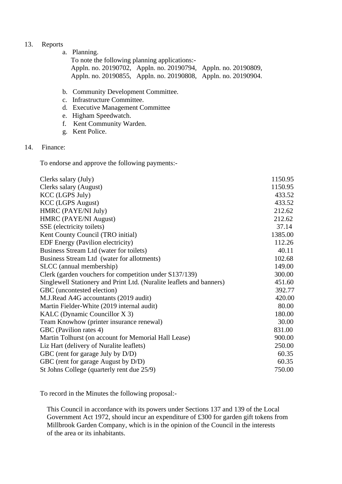#### 13. Reports

a. Planning.

 To note the following planning applications:- Appln. no. 20190702, Appln. no. 20190794, Appln. no. 20190809, Appln. no. 20190855, Appln. no. 20190808, Appln. no. 20190904.

- b. Community Development Committee.
- c. Infrastructure Committee.
- d. Executive Management Committee
- e. Higham Speedwatch.
- f. Kent Community Warden.
- g. Kent Police.
- 14. Finance:

To endorse and approve the following payments:-

| Clerks salary (July)                                                 | 1150.95 |
|----------------------------------------------------------------------|---------|
| Clerks salary (August)                                               | 1150.95 |
| <b>KCC</b> (LGPS July)                                               | 433.52  |
| <b>KCC</b> (LGPS August)                                             | 433.52  |
| HMRC (PAYE/NI July)                                                  | 212.62  |
| HMRC (PAYE/NI August)                                                | 212.62  |
| SSE (electricity toilets)                                            | 37.14   |
| Kent County Council (TRO initial)                                    | 1385.00 |
| EDF Energy (Pavilion electricity)                                    | 112.26  |
| Business Stream Ltd (water for toilets)                              | 40.11   |
| Business Stream Ltd (water for allotments)                           | 102.68  |
| SLCC (annual membership)                                             | 149.00  |
| Clerk (garden vouchers for competition under S137/139)               | 300.00  |
| Singlewell Stationery and Print Ltd. (Nuralite leaflets and banners) | 451.60  |
| GBC (uncontested election)                                           | 392.77  |
| M.J.Read A4G accountants (2019 audit)                                | 420.00  |
| Martin Fielder-White (2019 internal audit)                           | 80.00   |
| KALC (Dynamic Councillor X 3)                                        | 180.00  |
| Team Knowhow (printer insurance renewal)                             | 30.00   |
| GBC (Pavilion rates 4)                                               | 831.00  |
| Martin Tolhurst (on account for Memorial Hall Lease)                 | 900.00  |
| Liz Hart (delivery of Nuralite leaflets)                             | 250.00  |
| GBC (rent for garage July by D/D)                                    | 60.35   |
| GBC (rent for garage August by D/D)                                  | 60.35   |
| St Johns College (quarterly rent due 25/9)                           | 750.00  |
|                                                                      |         |

To record in the Minutes the following proposal:-

 This Council in accordance with its powers under Sections 137 and 139 of the Local Government Act 1972, should incur an expenditure of £300 for garden gift tokens from Millbrook Garden Company, which is in the opinion of the Council in the interests of the area or its inhabitants.